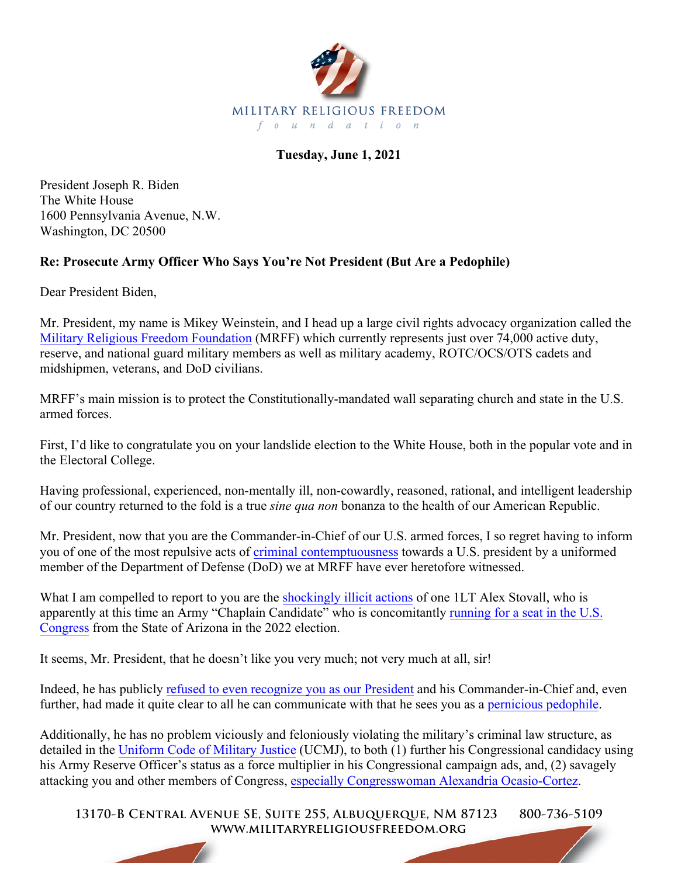

## **Tuesday, June 1, 2021**

President Joseph R. Biden The White House 1600 Pennsylvania Avenue, N.W. Washington, DC 20500

## **Re: Prosecute Army Officer Who Says You're Not President (But Are a Pedophile)**

Dear President Biden,

Mr. President, my name is Mikey Weinstein, and I head up a large civil rights advocacy organization called the [Military Religious Freedom Foundation](https://www.militaryreligiousfreedom.org) (MRFF) which currently represents just over 74,000 active duty, reserve, and national guard military members as well as military academy, ROTC/OCS/OTS cadets and midshipmen, veterans, and DoD civilians.

MRFF's main mission is to protect the Constitutionally-mandated wall separating church and state in the U.S. armed forces.

First, I'd like to congratulate you on your landslide election to the White House, both in the popular vote and in the Electoral College.

Having professional, experienced, non-mentally ill, non-cowardly, reasoned, rational, and intelligent leadership of our country returned to the fold is a true *sine qua non* bonanza to the health of our American Republic.

Mr. President, now that you are the Commander-in-Chief of our U.S. armed forces, I so regret having to inform you of one of the most repulsive acts of [criminal contemptuousness](https://www.law.cornell.edu/uscode/text/10/888#) towards a U.S. president by a uniformed member of the Department of Defense (DoD) we at MRFF have ever heretofore witnessed.

What I am compelled to report to you are the [shockingly illicit actions](https://militaryreligiousfreedom.org/press-releases/2021/5-26-21-MRFF-to-Demand-Punishment-of-Military-Chaplain-Congress-Candidate.pdf) of one 1LT Alex Stovall, who is apparently at this time an Army "Chaplain Candidate" who is concomitantly [running for a seat in the U.S.](https://www.alex4arizona.com) [Congress](https://www.alex4arizona.com) from the State of Arizona in the 2022 election.

It seems, Mr. President, that he doesn't like you very much; not very much at all, sir!

Indeed, he has publicly [refused to even recognize you as our President](https://www.dailykos.com/stories/2021/5/26/2032249/-Army-Chaplain-Running-for-Congress-Denies-that-Biden-is-President-Vows-to-Take-on-AOC) and his Commander-in-Chief and, even further, had made it quite clear to all he can communicate with that he sees you as a pernicious pedophile.

Additionally, he has no problem viciously and feloniously violating the military's criminal law structure, as detailed in the [Uniform Code of Military Justice](https://jsc.defense.gov/Portals/99/Documents/UCMJ%20-%2020December2019.pdf?ver=2020-01-28-083235-930) (UCMJ), to both (1) further his Congressional candidacy using his Army Reserve Officer's status as a force multiplier in his Congressional campaign ads, and, (2) savagely attacking you and other members of Congress, [especially Congresswoman Alexandria Ocasio-Cortez.](https://www.youtube.com/watch?v=unpZu55IYh4)

**13170-B Central Avenue SE, Suite 255, Albuquerque, NM 87123 800-736-5109 www.militaryreligiousfreedom.org**